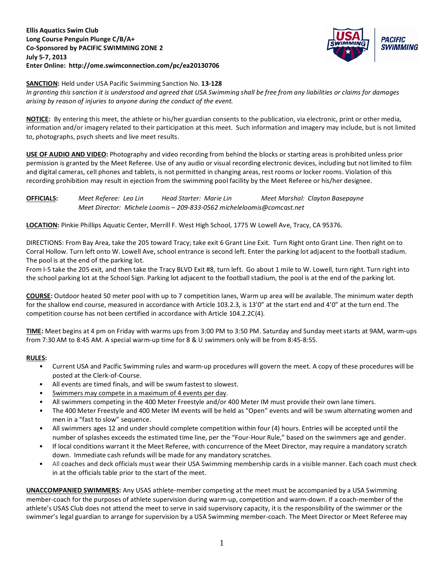## **Ellis Aquatics Swim Club Long Course Penguin Plunge C/B/A+ Co-Sponsored by PACIFIC SWIMMING ZONE 2 July 5-7, 2013 Enter Online: http://ome.swimconnection.com/pc/ea20130706**



#### **SANCTION:** Held under USA Pacific Swimming Sanction No. **13-128**

*In granting this sanction it is understood and agreed that USA Swimming shall be free from any liabilities or claims for damages arising by reason of injuries to anyone during the conduct of the event.*

**NOTICE:** By entering this meet, the athlete or his/her guardian consents to the publication, via electronic, print or other media, information and/or imagery related to their participation at this meet. Such information and imagery may include, but is not limited to, photographs, psych sheets and live meet results.

**USE OF AUDIO AND VIDEO:** Photography and video recording from behind the blocks or starting areas is prohibited unless prior permission is granted by the Meet Referee. Use of any audio or visual recording electronic devices, including but not limited to film and digital cameras, cell phones and tablets, is not permitted in changing areas, rest rooms or locker rooms. Violation of this recording prohibition may result in ejection from the swimming pool facility by the Meet Referee or his/her designee.

**OFFICIALS:** *Meet Referee: Leo Lin Head Starter: Marie Lin Meet Marshal: Clayton Basepayne Meet Director: Michele Loomis – 209-833-0562 micheleloomis@comcast.net*

**LOCATION:** Pinkie Phillips Aquatic Center, Merrill F. West High School, 1775 W Lowell Ave, Tracy, CA 95376.

DIRECTIONS: From Bay Area, take the 205 toward Tracy; take exit 6 Grant Line Exit. Turn Right onto Grant Line. Then right on to Corral Hollow. Turn left onto W. Lowell Ave, school entrance is second left. Enter the parking lot adjacent to the football stadium. The pool is at the end of the parking lot.

From I-5 take the 205 exit, and then take the Tracy BLVD Exit #8, turn left. Go about 1 mile to W. Lowell, turn right. Turn right into the school parking lot at the School Sign. Parking lot adjacent to the football stadium, the pool is at the end of the parking lot.

**COURSE:** Outdoor heated 50 meter pool with up to 7 competition lanes, Warm up area will be available. The minimum water depth for the shallow end course, measured in accordance with Article 103.2.3, is 13'0" at the start end and 4'0" at the turn end. The competition course has not been certified in accordance with Article 104.2.2C(4).

**TIME:** Meet begins at 4 pm on Friday with warms ups from 3:00 PM to 3:50 PM. Saturday and Sunday meet starts at 9AM, warm-ups from 7:30 AM to 8:45 AM. A special warm-up time for 8 & U swimmers only will be from 8:45-8:55.

## **RULES:**

- Current USA and Pacific Swimming rules and warm-up procedures will govern the meet. A copy of these procedures will be posted at the Clerk-of-Course.
- All events are timed finals, and will be swum fastest to slowest.
- Swimmers may compete in a maximum of 4 events per day.
- All swimmers competing in the 400 Meter Freestyle and/or 400 Meter IM must provide their own lane timers.
- The 400 Meter Freestyle and 400 Meter IM events will be held as "Open" events and will be swum alternating women and men in a "fast to slow" sequence.
- All swimmers ages 12 and under should complete competition within four (4) hours. Entries will be accepted until the number of splashes exceeds the estimated time line, per the "Four-Hour Rule," based on the swimmers age and gender.
- If local conditions warrant it the Meet Referee, with concurrence of the Meet Director, may require a mandatory scratch down. Immediate cash refunds will be made for any mandatory scratches.
- All coaches and deck officials must wear their USA Swimming membership cards in a visible manner. Each coach must check in at the officials table prior to the start of the meet.

**UNACCOMPANIED SWIMMERS:** Any USAS athlete-member competing at the meet must be accompanied by a USA Swimming member-coach for the purposes of athlete supervision during warm-up, competition and warm-down. If a coach-member of the athlete's USAS Club does not attend the meet to serve in said supervisory capacity, it is the responsibility of the swimmer or the swimmer's legal guardian to arrange for supervision by a USA Swimming member-coach. The Meet Director or Meet Referee may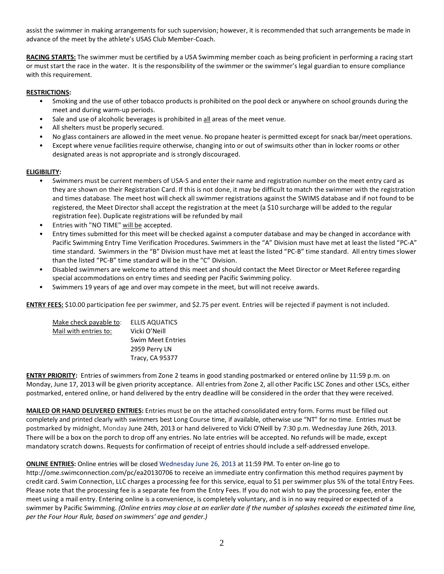assist the swimmer in making arrangements for such supervision; however, it is recommended that such arrangements be made in advance of the meet by the athlete's USAS Club Member-Coach.

**RACING STARTS:** The swimmer must be certified by a USA Swimming member coach as being proficient in performing a racing start or must start the race in the water. It is the responsibility of the swimmer or the swimmer's legal guardian to ensure compliance with this requirement.

# **RESTRICTIONS:**

- Smoking and the use of other tobacco products is prohibited on the pool deck or anywhere on school grounds during the meet and during warm-up periods.
- Sale and use of alcoholic beverages is prohibited in all areas of the meet venue.
- All shelters must be properly secured.
- No glass containers are allowed in the meet venue. No propane heater is permitted except for snack bar/meet operations.
- Except where venue facilities require otherwise, changing into or out of swimsuits other than in locker rooms or other designated areas is not appropriate and is strongly discouraged.

## **ELIGIBILITY:**

- Swimmers must be current members of USA-S and enter their name and registration number on the meet entry card as they are shown on their Registration Card. If this is not done, it may be difficult to match the swimmer with the registration and times database. The meet host will check all swimmer registrations against the SWIMS database and if not found to be registered, the Meet Director shall accept the registration at the meet (a \$10 surcharge will be added to the regular registration fee). Duplicate registrations will be refunded by mail
- Entries with "NO TIME" will be accepted.
- Entry times submitted for this meet will be checked against a computer database and may be changed in accordance with Pacific Swimming Entry Time Verification Procedures. Swimmers in the "A" Division must have met at least the listed "PC-A" time standard. Swimmers in the "B" Division must have met at least the listed "PC-B" time standard. All entry times slower than the listed "PC-B" time standard will be in the "C" Division.
- Disabled swimmers are welcome to attend this meet and should contact the Meet Director or Meet Referee regarding special accommodations on entry times and seeding per Pacific Swimming policy.
- Swimmers 19 years of age and over may compete in the meet, but will not receive awards.

**ENTRY FEES:** \$10.00 participation fee per swimmer, and \$2.75 per event. Entries will be rejected if payment is not included.

| Make check payable to: | ELLIS AQUATICS           |
|------------------------|--------------------------|
| Mail with entries to:  | Vicki O'Neill            |
|                        | <b>Swim Meet Entries</b> |
|                        | 2959 Perry LN            |
|                        | <b>Tracy, CA 95377</b>   |

**ENTRY PRIORITY:** Entries of swimmers from Zone 2 teams in good standing postmarked or entered online by 11:59 p.m. on Monday, June 17, 2013 will be given priority acceptance. All entries from Zone 2, all other Pacific LSC Zones and other LSCs, either postmarked, entered online, or hand delivered by the entry deadline will be considered in the order that they were received.

**MAILED OR HAND DELIVERED ENTRIES:** Entries must be on the attached consolidated entry form. Forms must be filled out completely and printed clearly with swimmers best Long Course time, if available, otherwise use "NT" for no time. Entries must be postmarked by midnight, Monday June 24th, 2013 or hand delivered to Vicki O'Neill by 7:30 p.m. Wednesday June 26th, 2013. There will be a box on the porch to drop off any entries. No late entries will be accepted. No refunds will be made, except mandatory scratch downs. Requests for confirmation of receipt of entries should include a self-addressed envelope.

**ONLINE ENTRIES:** Online entries will be closed Wednesday June 26, 2013 at 11:59 PM. To enter on-line go to

http://ome.swimconnection.com/pc/ea20130706 to receive an immediate entry confirmation this method requires payment by credit card. Swim Connection, LLC charges a processing fee for this service, equal to \$1 per swimmer plus 5% of the total Entry Fees. Please note that the processing fee is a separate fee from the Entry Fees. If you do not wish to pay the processing fee, enter the meet using a mail entry. Entering online is a convenience, is completely voluntary, and is in no way required or expected of a swimmer by Pacific Swimming. *(Online entries may close at an earlier date if the number of splashes exceeds the estimated time line, per the Four Hour Rule, based on swimmers' age and gender.)*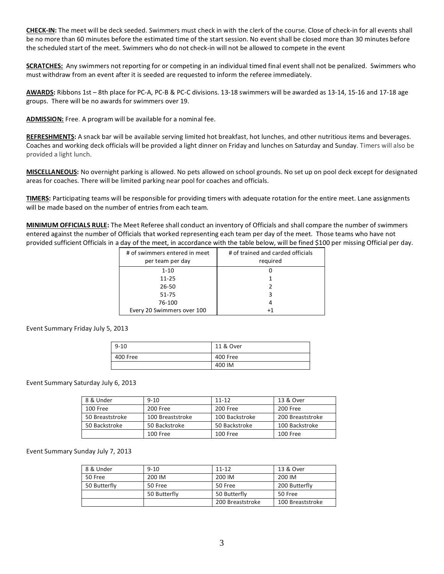**CHECK-IN:** The meet will be deck seeded. Swimmers must check in with the clerk of the course. Close of check-in for all events shall be no more than 60 minutes before the estimated time of the start session. No event shall be closed more than 30 minutes before the scheduled start of the meet. Swimmers who do not check-in will not be allowed to compete in the event

**SCRATCHES:** Any swimmers not reporting for or competing in an individual timed final event shall not be penalized. Swimmers who must withdraw from an event after it is seeded are requested to inform the referee immediately.

**AWARDS:** Ribbons 1st – 8th place for PC-A, PC-B & PC-C divisions. 13-18 swimmers will be awarded as 13-14, 15-16 and 17-18 age groups. There will be no awards for swimmers over 19.

**ADMISSION:** Free. A program will be available for a nominal fee.

**REFRESHMENTS:** A snack bar will be available serving limited hot breakfast, hot lunches, and other nutritious items and beverages. Coaches and working deck officials will be provided a light dinner on Friday and lunches on Saturday and Sunday. Timers will also be provided a light lunch.

**MISCELLANEOUS:** No overnight parking is allowed. No pets allowed on school grounds. No set up on pool deck except for designated areas for coaches. There will be limited parking near pool for coaches and officials.

**TIMERS:** Participating teams will be responsible for providing timers with adequate rotation for the entire meet. Lane assignments will be made based on the number of entries from each team.

**MINIMUM OFFICIALS RULE:** The Meet Referee shall conduct an inventory of Officials and shall compare the number of swimmers entered against the number of Officials that worked representing each team per day of the meet. Those teams who have not provided sufficient Officials in a day of the meet, in accordance with the table below, will be fined \$100 per missing Official per day.

| # of swimmers entered in meet<br>per team per day | # of trained and carded officials<br>required |
|---------------------------------------------------|-----------------------------------------------|
| $1 - 10$                                          |                                               |
| $11 - 25$                                         |                                               |
| 26-50                                             |                                               |
| 51-75                                             | 3                                             |
| 76-100                                            |                                               |
| Every 20 Swimmers over 100                        |                                               |

Event Summary Friday July 5, 2013

| $9 - 10$ | 11 & Over |
|----------|-----------|
| 400 Free | 400 Free  |
|          | 400 IM    |

Event Summary Saturday July 6, 2013

| 8 & Under       | $9 - 10$         | $11 - 12$      | 13 & Over        |
|-----------------|------------------|----------------|------------------|
| 100 Free        | 200 Free         | 200 Free       | 200 Free         |
| 50 Breaststroke | 100 Breaststroke | 100 Backstroke | 200 Breaststroke |
| 50 Backstroke   | 50 Backstroke    | 50 Backstroke  | 100 Backstroke   |
|                 | 100 Free         | 100 Free       | 100 Free         |

Event Summary Sunday July 7, 2013

| 8 & Under    | $9 - 10$     | $11 - 12$        | 13 & Over        |
|--------------|--------------|------------------|------------------|
| 50 Free      | 200 IM       | 200 IM           | 200 IM           |
| 50 Butterfly | 50 Free      | 50 Free          | 200 Butterfly    |
|              | 50 Butterfly | 50 Butterfly     | 50 Free          |
|              |              | 200 Breaststroke | 100 Breaststroke |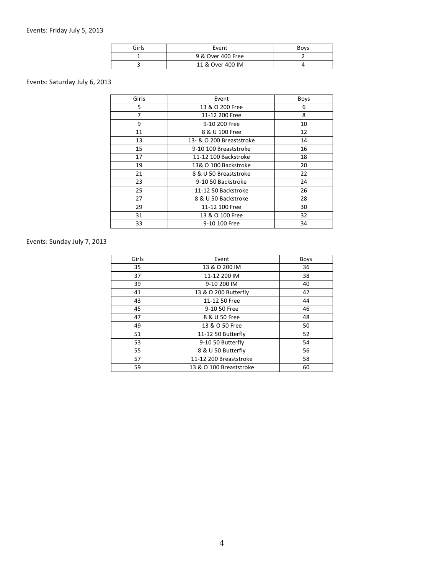| Girls | Event             | <b>Boys</b> |
|-------|-------------------|-------------|
|       | 9 & Over 400 Free |             |
|       | 11 & Over 400 IM  |             |

# Events: Saturday July 6, 2013

| Girls<br>Event<br>Boys<br>5<br>13 & O 200 Free<br>6<br>8<br>7<br>11-12 200 Free<br>9<br>9-10 200 Free<br>10<br>11<br>8 & U 100 Free<br>12<br>13<br>13- & O 200 Breaststroke<br>14<br>15<br>16<br>9-10 100 Breaststroke<br>17<br>11-12 100 Backstroke<br>18<br>19<br>13& O 100 Backstroke<br>20<br>21<br>8 & U 50 Breaststroke<br>22<br>23<br>24<br>9-10 50 Backstroke<br>25<br>11-12 50 Backstroke<br>26<br>27<br>8 & U 50 Backstroke<br>28<br>29<br>30<br>11-12 100 Free<br>31<br>13 & O 100 Free<br>32<br>33<br>9-10 100 Free<br>34 |  |  |
|---------------------------------------------------------------------------------------------------------------------------------------------------------------------------------------------------------------------------------------------------------------------------------------------------------------------------------------------------------------------------------------------------------------------------------------------------------------------------------------------------------------------------------------|--|--|
|                                                                                                                                                                                                                                                                                                                                                                                                                                                                                                                                       |  |  |
|                                                                                                                                                                                                                                                                                                                                                                                                                                                                                                                                       |  |  |
|                                                                                                                                                                                                                                                                                                                                                                                                                                                                                                                                       |  |  |
|                                                                                                                                                                                                                                                                                                                                                                                                                                                                                                                                       |  |  |
|                                                                                                                                                                                                                                                                                                                                                                                                                                                                                                                                       |  |  |
|                                                                                                                                                                                                                                                                                                                                                                                                                                                                                                                                       |  |  |
|                                                                                                                                                                                                                                                                                                                                                                                                                                                                                                                                       |  |  |
|                                                                                                                                                                                                                                                                                                                                                                                                                                                                                                                                       |  |  |
|                                                                                                                                                                                                                                                                                                                                                                                                                                                                                                                                       |  |  |
|                                                                                                                                                                                                                                                                                                                                                                                                                                                                                                                                       |  |  |
|                                                                                                                                                                                                                                                                                                                                                                                                                                                                                                                                       |  |  |
|                                                                                                                                                                                                                                                                                                                                                                                                                                                                                                                                       |  |  |
|                                                                                                                                                                                                                                                                                                                                                                                                                                                                                                                                       |  |  |
|                                                                                                                                                                                                                                                                                                                                                                                                                                                                                                                                       |  |  |
|                                                                                                                                                                                                                                                                                                                                                                                                                                                                                                                                       |  |  |
|                                                                                                                                                                                                                                                                                                                                                                                                                                                                                                                                       |  |  |

# Events: Sunday July 7, 2013

| Event                   | <b>Boys</b> |
|-------------------------|-------------|
| 13 & O 200 IM           | 36          |
| 11-12 200 IM            | 38          |
| 9-10 200 IM             | 40          |
| 13 & O 200 Butterfly    | 42          |
| 11-12 50 Free           | 44          |
| 9-10 50 Free            | 46          |
| 8 & U 50 Free           | 48          |
| 13 & O 50 Free          | 50          |
| 11-12 50 Butterfly      | 52          |
| 9-10 50 Butterfly       | 54          |
| 8 & U 50 Butterfly      | 56          |
| 11-12 200 Breaststroke  | 58          |
| 13 & O 100 Breaststroke | 60          |
|                         |             |